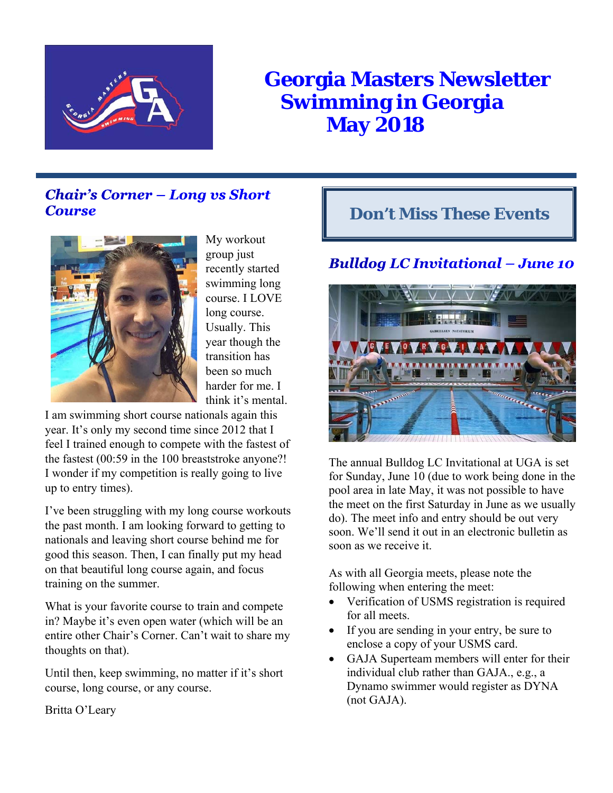

# **Georgia Masters Newsletter Swimming in Georgia May 2018**

# **Chair's Corner - Long vs Short Course**



My workout group just recently started swimming long course. I LOVE long course. Usually. This year though the transition has been so much harder for me. I think it's mental.

I am swimming short course nationals again this year. It's only my second time since 2012 that I feel I trained enough to compete with the fastest of the fastest (00:59 in the 100 breaststroke anyone?! I wonder if my competition is really going to live up to entry times).

I've been struggling with my long course workouts the past month. I am looking forward to getting to nationals and leaving short course behind me for good this season. Then, I can finally put my head on that beautiful long course again, and focus training on the summer.

What is your favorite course to train and compete in? Maybe it's even open water (which will be an entire other Chair's Corner. Can't wait to share my thoughts on that).

Until then, keep swimming, no matter if it's short course, long course, or any course.

Britta O'Leary

# **Don't Miss These Events**

# **Bulldog LC Invitational - June 10**



The annual Bulldog LC Invitational at UGA is set for Sunday, June 10 (due to work being done in the pool area in late May, it was not possible to have the meet on the first Saturday in June as we usually do). The meet info and entry should be out very soon. We'll send it out in an electronic bulletin as soon as we receive it.

As with all Georgia meets, please note the following when entering the meet:

- Verification of USMS registration is required for all meets.
- If you are sending in your entry, be sure to enclose a copy of your USMS card.
- GAJA Superteam members will enter for their individual club rather than GAJA., e.g., a Dynamo swimmer would register as DYNA (not GAJA).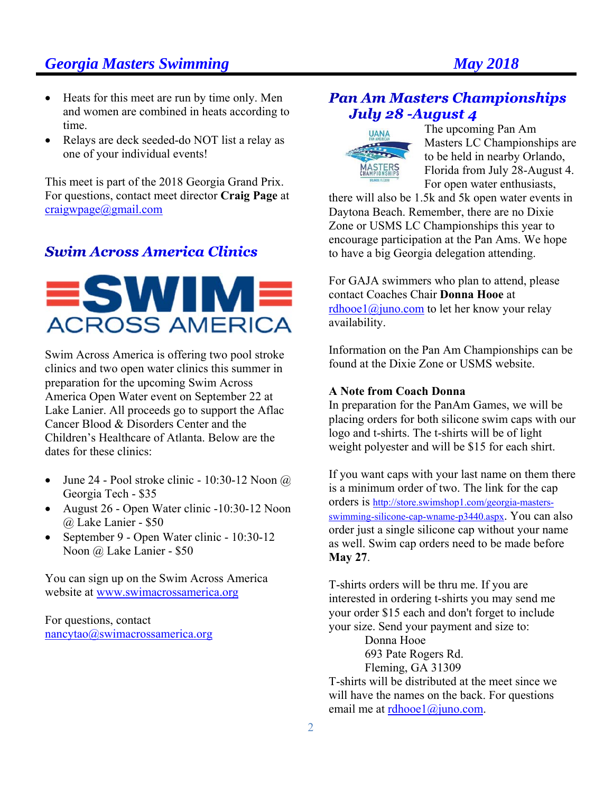# **Georgia Masters Swimming Construction Construction Construction Construction Construction Construction Construction Construction Construction Construction Construction Construction Construction Construction Construction C**

- Heats for this meet are run by time only. Men and women are combined in heats according to time.
- Relays are deck seeded-do NOT list a relay as one of your individual events!

This meet is part of the 2018 Georgia Grand Prix. For questions, contact meet director **Craig Page** at craigwpage@gmail.com

# **Swim Across America Clinics**



Swim Across America is offering two pool stroke clinics and two open water clinics this summer in preparation for the upcoming Swim Across America Open Water event on September 22 at Lake Lanier. All proceeds go to support the Aflac Cancer Blood & Disorders Center and the Children's Healthcare of Atlanta. Below are the dates for these clinics:

- June 24 Pool stroke clinic 10:30-12 Noon  $\omega$ Georgia Tech - \$35
- August 26 Open Water clinic -10:30-12 Noon @ Lake Lanier - \$50
- September 9 Open Water clinic 10:30-12 Noon @ Lake Lanier - \$50

You can sign up on the Swim Across America website at www.swimacrossamerica.org

For questions, contact nancytao@swimacrossamerica.org

# **Pan Am Masters Championships** July 28 - August 4



The upcoming Pan Am Masters LC Championships are to be held in nearby Orlando, Florida from July 28-August 4. For open water enthusiasts,

there will also be 1.5k and 5k open water events in Daytona Beach. Remember, there are no Dixie Zone or USMS LC Championships this year to encourage participation at the Pan Ams. We hope to have a big Georgia delegation attending.

For GAJA swimmers who plan to attend, please contact Coaches Chair **Donna Hooe** at  $rdhookingeq1@juno.com$  to let her know your relay availability.

Information on the Pan Am Championships can be found at the Dixie Zone or USMS website.

## **A Note from Coach Donna**

In preparation for the PanAm Games, we will be placing orders for both silicone swim caps with our logo and t-shirts. The t-shirts will be of light weight polyester and will be \$15 for each shirt.

If you want caps with your last name on them there is a minimum order of two. The link for the cap orders is http://store.swimshop1.com/georgia-mastersswimming-silicone-cap-wname-p3440.aspx. You can also order just a single silicone cap without your name as well. Swim cap orders need to be made before **May 27**.

T-shirts orders will be thru me. If you are interested in ordering t-shirts you may send me your order \$15 each and don't forget to include your size. Send your payment and size to:

Donna Hooe 693 Pate Rogers Rd. Fleming, GA 31309

T-shirts will be distributed at the meet since we will have the names on the back. For questions email me at rdhooe $1$ @juno.com.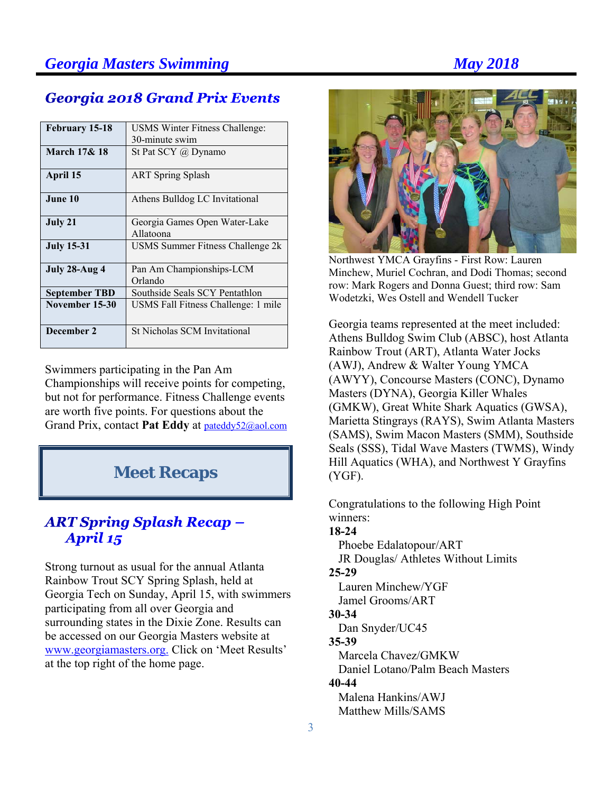# **Georgia 2018 Grand Prix Events**

| February 15-18          | USMS Winter Fitness Challenge:             |  |  |
|-------------------------|--------------------------------------------|--|--|
|                         | 30-minute swim                             |  |  |
| <b>March 17&amp; 18</b> | St Pat SCY $\omega$ Dynamo                 |  |  |
| April 15                | <b>ART</b> Spring Splash                   |  |  |
| June 10                 | Athens Bulldog LC Invitational             |  |  |
| July 21                 | Georgia Games Open Water-Lake<br>Allatoona |  |  |
| <b>July 15-31</b>       | USMS Summer Fitness Challenge 2k           |  |  |
| July 28-Aug 4           | Pan Am Championships-LCM<br>Orlando        |  |  |
| <b>September TBD</b>    | Southside Seals SCY Pentathlon             |  |  |
| November 15-30          | USMS Fall Fitness Challenge: 1 mile        |  |  |
| December 2              | St Nicholas SCM Invitational               |  |  |

Swimmers participating in the Pan Am Championships will receive points for competing, but not for performance. Fitness Challenge events are worth five points. For questions about the Grand Prix, contact **Pat Eddy** at pateddy52@aol.com

# **Meet Recaps**

# **ART Spring Splash Recap -**April 15

Strong turnout as usual for the annual Atlanta Rainbow Trout SCY Spring Splash, held at Georgia Tech on Sunday, April 15, with swimmers participating from all over Georgia and surrounding states in the Dixie Zone. Results can be accessed on our Georgia Masters website at www.georgiamasters.org. Click on 'Meet Results' at the top right of the home page.



Northwest YMCA Grayfins - First Row: Lauren Minchew, Muriel Cochran, and Dodi Thomas; second row: Mark Rogers and Donna Guest; third row: Sam Wodetzki, Wes Ostell and Wendell Tucker

Georgia teams represented at the meet included: Athens Bulldog Swim Club (ABSC), host Atlanta Rainbow Trout (ART), Atlanta Water Jocks (AWJ), Andrew & Walter Young YMCA (AWYY), Concourse Masters (CONC), Dynamo Masters (DYNA), Georgia Killer Whales (GMKW), Great White Shark Aquatics (GWSA), Marietta Stingrays (RAYS), Swim Atlanta Masters (SAMS), Swim Macon Masters (SMM), Southside Seals (SSS), Tidal Wave Masters (TWMS), Windy Hill Aquatics (WHA), and Northwest Y Grayfins (YGF).

Congratulations to the following High Point winners: **18-24** Phoebe Edalatopour/ART JR Douglas/ Athletes Without Limits **25-29**  Lauren Minchew/YGF Jamel Grooms/ART **30-34**  Dan Snyder/UC45 **35-39**  Marcela Chavez/GMKW Daniel Lotano/Palm Beach Masters **40-44**  Malena Hankins/AWJ Matthew Mills/SAMS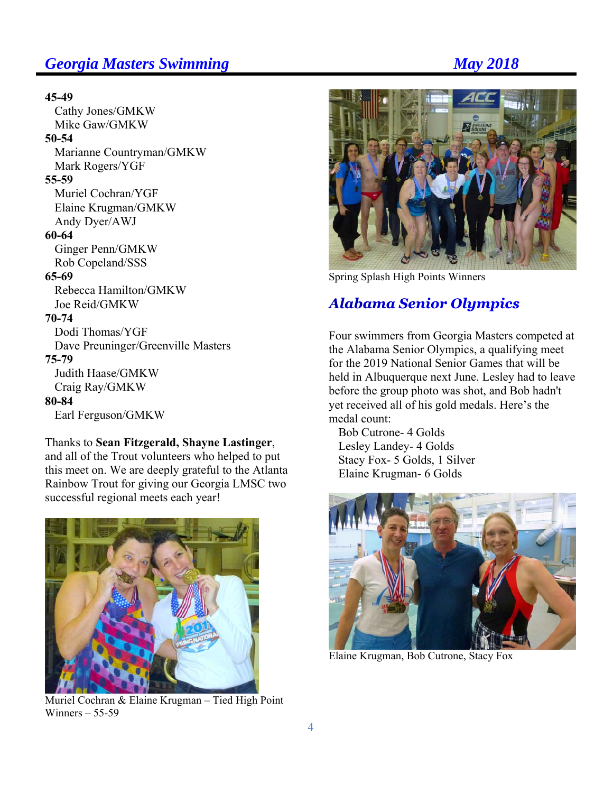# **Georgia Masters Swimming Community Community Community Community Community Community Community Community Community Community Community Community Community Community Community Community Community Community Community Commun**

### **45-49**

 Cathy Jones/GMKW Mike Gaw/GMKW

## **50-54**

 Marianne Countryman/GMKW Mark Rogers/YGF

#### **55-59**

 Muriel Cochran/YGF Elaine Krugman/GMKW Andy Dyer/AWJ

## **60-64**

 Ginger Penn/GMKW Rob Copeland/SSS

#### **65-69**

 Rebecca Hamilton/GMKW Joe Reid/GMKW

#### **70-74**

 Dodi Thomas/YGF Dave Preuninger/Greenville Masters **75-79** Judith Haase/GMKW Craig Ray/GMKW

## **80-84**

Earl Ferguson/GMKW

## Thanks to **Sean Fitzgerald, Shayne Lastinger**,

and all of the Trout volunteers who helped to put this meet on. We are deeply grateful to the Atlanta Rainbow Trout for giving our Georgia LMSC two successful regional meets each year!



Muriel Cochran & Elaine Krugman – Tied High Point Winners – 55-59



Spring Splash High Points Winners

# **Alabama Senior Olympics**

Four swimmers from Georgia Masters competed at the Alabama Senior Olympics, a qualifying meet for the 2019 National Senior Games that will be held in Albuquerque next June. Lesley had to leave before the group photo was shot, and Bob hadn't yet received all of his gold medals. Here's the medal count:

 Bob Cutrone- 4 Golds Lesley Landey- 4 Golds Stacy Fox- 5 Golds, 1 Silver Elaine Krugman- 6 Golds



Elaine Krugman, Bob Cutrone, Stacy Fox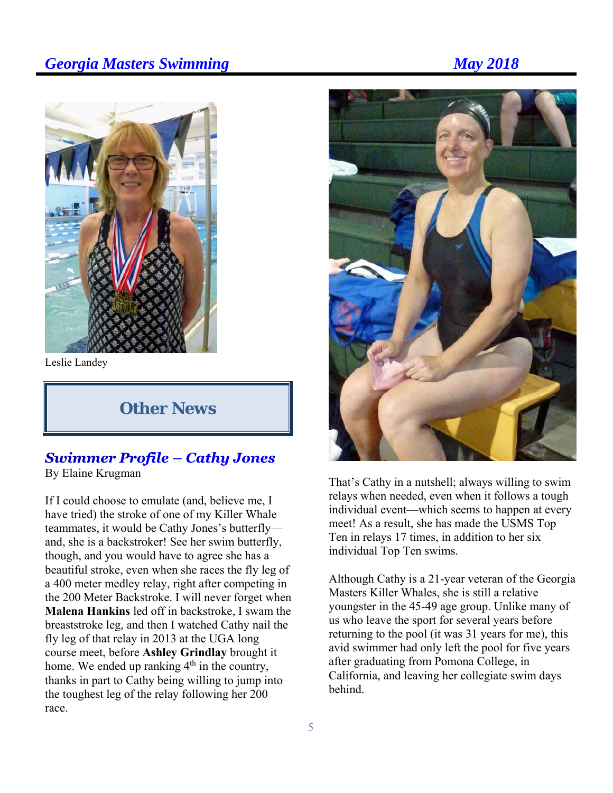# **Georgia Masters Swimming Community Community Community Community Community Community Community Community Community Community Community Community Community Community Community Community Community Community Community Commun**



Leslie Landey

# **Other News**

## **Swimmer Profile - Cathy Jones** By Elaine Krugman

If I could choose to emulate (and, believe me, I have tried) the stroke of one of my Killer Whale teammates, it would be Cathy Jones's butterfly and, she is a backstroker! See her swim butterfly, though, and you would have to agree she has a beautiful stroke, even when she races the fly leg of a 400 meter medley relay, right after competing in the 200 Meter Backstroke. I will never forget when **Malena Hankins** led off in backstroke, I swam the breaststroke leg, and then I watched Cathy nail the fly leg of that relay in 2013 at the UGA long course meet, before **Ashley Grindlay** brought it home. We ended up ranking  $4<sup>th</sup>$  in the country, thanks in part to Cathy being willing to jump into the toughest leg of the relay following her 200 race.



That's Cathy in a nutshell; always willing to swim relays when needed, even when it follows a tough individual event—which seems to happen at every meet! As a result, she has made the USMS Top Ten in relays 17 times, in addition to her six individual Top Ten swims.

Although Cathy is a 21-year veteran of the Georgia Masters Killer Whales, she is still a relative youngster in the 45-49 age group. Unlike many of us who leave the sport for several years before returning to the pool (it was 31 years for me), this avid swimmer had only left the pool for five years after graduating from Pomona College, in California, and leaving her collegiate swim days behind.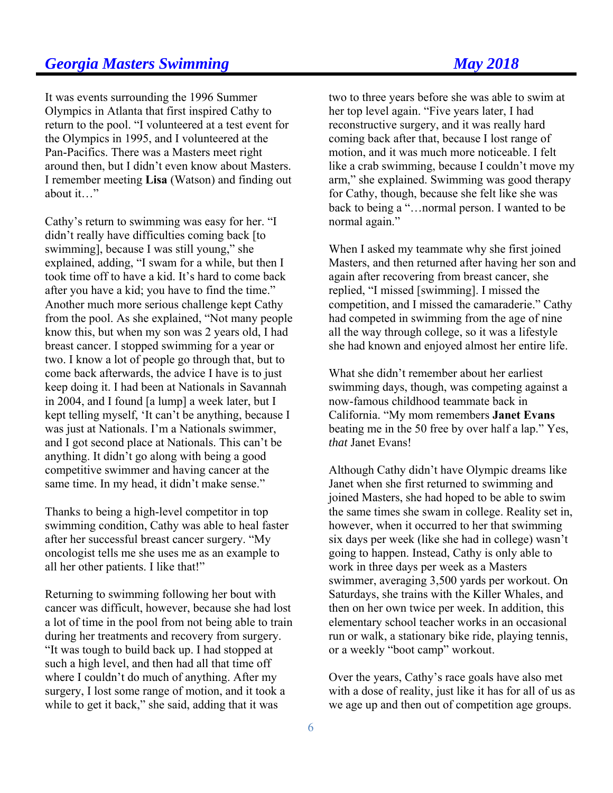# **Georgia Masters Swimming May 2018**

It was events surrounding the 1996 Summer Olympics in Atlanta that first inspired Cathy to return to the pool. "I volunteered at a test event for the Olympics in 1995, and I volunteered at the Pan-Pacifics. There was a Masters meet right around then, but I didn't even know about Masters. I remember meeting **Lisa** (Watson) and finding out about it…"

Cathy's return to swimming was easy for her. "I didn't really have difficulties coming back [to swimming], because I was still young," she explained, adding, "I swam for a while, but then I took time off to have a kid. It's hard to come back after you have a kid; you have to find the time." Another much more serious challenge kept Cathy from the pool. As she explained, "Not many people know this, but when my son was 2 years old, I had breast cancer. I stopped swimming for a year or two. I know a lot of people go through that, but to come back afterwards, the advice I have is to just keep doing it. I had been at Nationals in Savannah in 2004, and I found [a lump] a week later, but I kept telling myself, 'It can't be anything, because I was just at Nationals. I'm a Nationals swimmer, and I got second place at Nationals. This can't be anything. It didn't go along with being a good competitive swimmer and having cancer at the same time. In my head, it didn't make sense."

Thanks to being a high-level competitor in top swimming condition, Cathy was able to heal faster after her successful breast cancer surgery. "My oncologist tells me she uses me as an example to all her other patients. I like that!"

Returning to swimming following her bout with cancer was difficult, however, because she had lost a lot of time in the pool from not being able to train during her treatments and recovery from surgery. "It was tough to build back up. I had stopped at such a high level, and then had all that time off where I couldn't do much of anything. After my surgery, I lost some range of motion, and it took a while to get it back," she said, adding that it was

two to three years before she was able to swim at her top level again. "Five years later, I had reconstructive surgery, and it was really hard coming back after that, because I lost range of motion, and it was much more noticeable. I felt like a crab swimming, because I couldn't move my arm," she explained. Swimming was good therapy for Cathy, though, because she felt like she was back to being a "…normal person. I wanted to be normal again."

When I asked my teammate why she first joined Masters, and then returned after having her son and again after recovering from breast cancer, she replied, "I missed [swimming]. I missed the competition, and I missed the camaraderie." Cathy had competed in swimming from the age of nine all the way through college, so it was a lifestyle she had known and enjoyed almost her entire life.

What she didn't remember about her earliest swimming days, though, was competing against a now-famous childhood teammate back in California. "My mom remembers **Janet Evans** beating me in the 50 free by over half a lap." Yes, *that* Janet Evans!

Although Cathy didn't have Olympic dreams like Janet when she first returned to swimming and joined Masters, she had hoped to be able to swim the same times she swam in college. Reality set in, however, when it occurred to her that swimming six days per week (like she had in college) wasn't going to happen. Instead, Cathy is only able to work in three days per week as a Masters swimmer, averaging 3,500 yards per workout. On Saturdays, she trains with the Killer Whales, and then on her own twice per week. In addition, this elementary school teacher works in an occasional run or walk, a stationary bike ride, playing tennis, or a weekly "boot camp" workout.

Over the years, Cathy's race goals have also met with a dose of reality, just like it has for all of us as we age up and then out of competition age groups.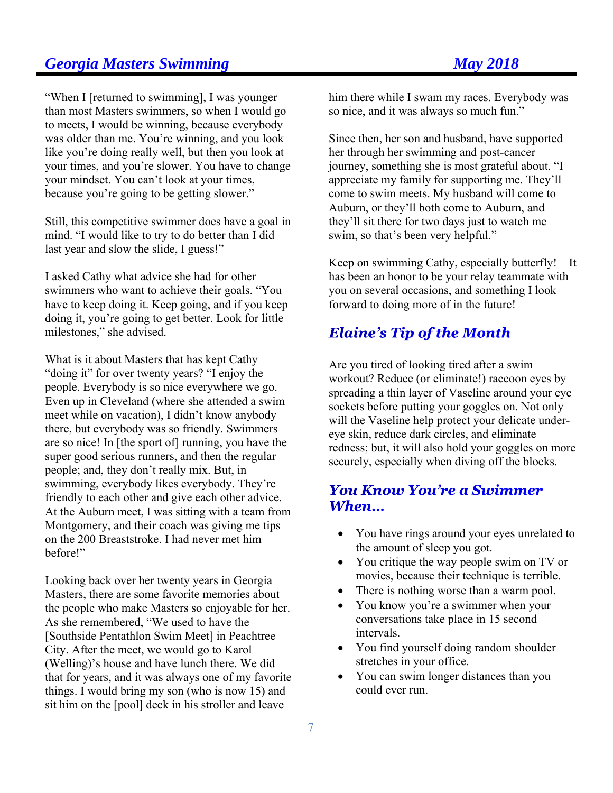# **Georgia Masters Swimming May 2018**

"When I [returned to swimming], I was younger than most Masters swimmers, so when I would go to meets, I would be winning, because everybody was older than me. You're winning, and you look like you're doing really well, but then you look at your times, and you're slower. You have to change your mindset. You can't look at your times, because you're going to be getting slower."

Still, this competitive swimmer does have a goal in mind. "I would like to try to do better than I did last year and slow the slide, I guess!"

I asked Cathy what advice she had for other swimmers who want to achieve their goals. "You have to keep doing it. Keep going, and if you keep doing it, you're going to get better. Look for little milestones," she advised.

What is it about Masters that has kept Cathy "doing it" for over twenty years? "I enjoy the people. Everybody is so nice everywhere we go. Even up in Cleveland (where she attended a swim meet while on vacation), I didn't know anybody there, but everybody was so friendly. Swimmers are so nice! In [the sport of] running, you have the super good serious runners, and then the regular people; and, they don't really mix. But, in swimming, everybody likes everybody. They're friendly to each other and give each other advice. At the Auburn meet, I was sitting with a team from Montgomery, and their coach was giving me tips on the 200 Breaststroke. I had never met him before!"

Looking back over her twenty years in Georgia Masters, there are some favorite memories about the people who make Masters so enjoyable for her. As she remembered, "We used to have the [Southside Pentathlon Swim Meet] in Peachtree City. After the meet, we would go to Karol (Welling)'s house and have lunch there. We did that for years, and it was always one of my favorite things. I would bring my son (who is now 15) and sit him on the [pool] deck in his stroller and leave

him there while I swam my races. Everybody was so nice, and it was always so much fun."

Since then, her son and husband, have supported her through her swimming and post-cancer journey, something she is most grateful about. "I appreciate my family for supporting me. They'll come to swim meets. My husband will come to Auburn, or they'll both come to Auburn, and they'll sit there for two days just to watch me swim, so that's been very helpful."

Keep on swimming Cathy, especially butterfly! It has been an honor to be your relay teammate with you on several occasions, and something I look forward to doing more of in the future!

# **Elaine's Tip of the Month**

Are you tired of looking tired after a swim workout? Reduce (or eliminate!) raccoon eyes by spreading a thin layer of Vaseline around your eye sockets before putting your goggles on. Not only will the Vaseline help protect your delicate undereye skin, reduce dark circles, and eliminate redness; but, it will also hold your goggles on more securely, especially when diving off the blocks.

## **You Know You're a Swimmer** When...

- You have rings around your eyes unrelated to the amount of sleep you got.
- You critique the way people swim on TV or movies, because their technique is terrible.
- There is nothing worse than a warm pool.
- You know you're a swimmer when your conversations take place in 15 second intervals.
- You find yourself doing random shoulder stretches in your office.
- You can swim longer distances than you could ever run.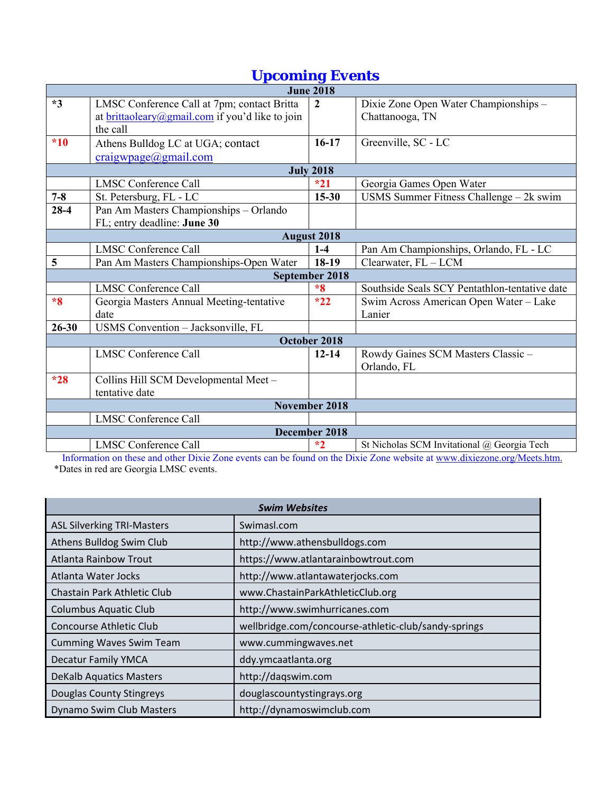# *Upcoming Events*

| <b>June 2018</b>   |                                                 |                  |                                               |  |
|--------------------|-------------------------------------------------|------------------|-----------------------------------------------|--|
| $*3$               | LMSC Conference Call at 7pm; contact Britta     | $\overline{2}$   | Dixie Zone Open Water Championships -         |  |
|                    | at brittaoleary@gmail.com if you'd like to join |                  | Chattanooga, TN                               |  |
|                    | the call                                        |                  |                                               |  |
| $*10$              | Athens Bulldog LC at UGA; contact               | $16-17$          | Greenville, SC - LC                           |  |
|                    | craigwpage@gmail.com                            |                  |                                               |  |
|                    |                                                 | <b>July 2018</b> |                                               |  |
|                    | <b>LMSC Conference Call</b>                     | $*21$            | Georgia Games Open Water                      |  |
| $7 - 8$            | St. Petersburg, FL - LC                         | $15 - 30$        | USMS Summer Fitness Challenge $-2k$ swim      |  |
| $28 - 4$           | Pan Am Masters Championships - Orlando          |                  |                                               |  |
|                    | FL; entry deadline: June 30                     |                  |                                               |  |
| <b>August 2018</b> |                                                 |                  |                                               |  |
|                    | <b>LMSC Conference Call</b>                     | $1-4$            | Pan Am Championships, Orlando, FL - LC        |  |
| 5                  | Pan Am Masters Championships-Open Water         | 18-19            | Clearwater, $FL - LCM$                        |  |
| September 2018     |                                                 |                  |                                               |  |
|                    | <b>LMSC Conference Call</b>                     | $*8$             | Southside Seals SCY Pentathlon-tentative date |  |
| $*8$               | Georgia Masters Annual Meeting-tentative        | $*22$            | Swim Across American Open Water - Lake        |  |
|                    | date                                            |                  | Lanier                                        |  |
| $26 - 30$          | USMS Convention - Jacksonville, FL              |                  |                                               |  |
| October 2018       |                                                 |                  |                                               |  |
|                    | <b>LMSC Conference Call</b>                     | $12 - 14$        | Rowdy Gaines SCM Masters Classic-             |  |
|                    |                                                 |                  | Orlando, FL                                   |  |
| $*28$              | Collins Hill SCM Developmental Meet -           |                  |                                               |  |
|                    | tentative date                                  |                  |                                               |  |
|                    |                                                 | November 2018    |                                               |  |
|                    | <b>LMSC Conference Call</b>                     |                  |                                               |  |
| December 2018      |                                                 |                  |                                               |  |
|                    | <b>LMSC Conference Call</b>                     | $*2$             | St Nicholas SCM Invitational @ Georgia Tech   |  |

Information on these and other Dixie Zone events can be found on the Dixie Zone website at www.dixiezone.org/Meets.htm. \*Dates in red are Georgia LMSC events.

| <b>Swim Websites</b>              |                                                      |  |  |
|-----------------------------------|------------------------------------------------------|--|--|
| <b>ASL Silverking TRI-Masters</b> | Swimasl.com                                          |  |  |
| Athens Bulldog Swim Club          | http://www.athensbulldogs.com                        |  |  |
| <b>Atlanta Rainbow Trout</b>      | https://www.atlantarainbowtrout.com                  |  |  |
| Atlanta Water Jocks               | http://www.atlantawaterjocks.com                     |  |  |
| Chastain Park Athletic Club       | www.ChastainParkAthleticClub.org                     |  |  |
| <b>Columbus Aquatic Club</b>      | http://www.swimhurricanes.com                        |  |  |
| Concourse Athletic Club           | wellbridge.com/concourse-athletic-club/sandy-springs |  |  |
| <b>Cumming Waves Swim Team</b>    | www.cummingwaves.net                                 |  |  |
| <b>Decatur Family YMCA</b>        | ddy.ymcaatlanta.org                                  |  |  |
| <b>DeKalb Aquatics Masters</b>    | http://daqswim.com                                   |  |  |
| <b>Douglas County Stingreys</b>   | douglascountystingrays.org                           |  |  |
| Dynamo Swim Club Masters          | http://dynamoswimclub.com                            |  |  |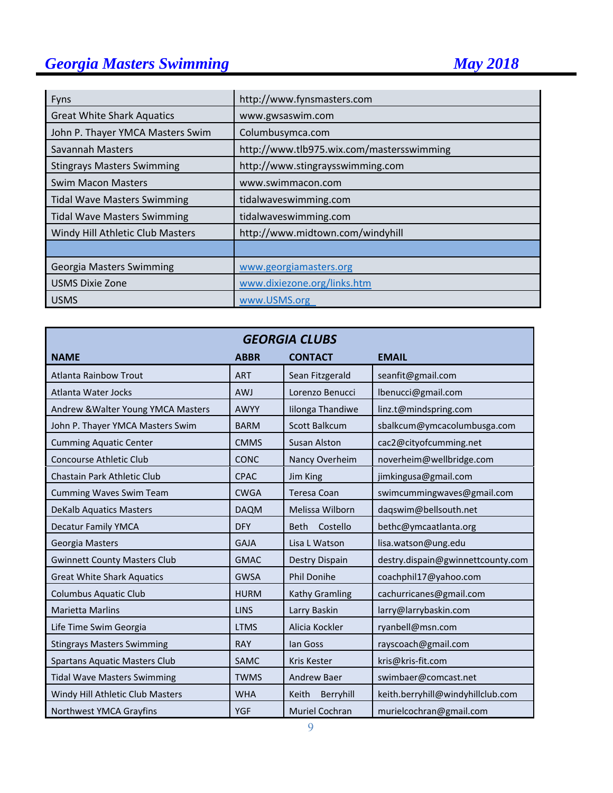# **Georgia Masters Swimming May 2018**

| Fyns                               | http://www.fynsmasters.com                |  |  |
|------------------------------------|-------------------------------------------|--|--|
| <b>Great White Shark Aquatics</b>  | www.gwsaswim.com                          |  |  |
| John P. Thayer YMCA Masters Swim   | Columbusymca.com                          |  |  |
| Savannah Masters                   | http://www.tlb975.wix.com/mastersswimming |  |  |
| <b>Stingrays Masters Swimming</b>  | http://www.stingraysswimming.com          |  |  |
| <b>Swim Macon Masters</b>          | www.swimmacon.com                         |  |  |
| <b>Tidal Wave Masters Swimming</b> | tidalwaveswimming.com                     |  |  |
| <b>Tidal Wave Masters Swimming</b> | tidalwaveswimming.com                     |  |  |
| Windy Hill Athletic Club Masters   | http://www.midtown.com/windyhill          |  |  |
|                                    |                                           |  |  |
| Georgia Masters Swimming           | www.georgiamasters.org                    |  |  |
| <b>USMS Dixie Zone</b>             | www.dixiezone.org/links.htm               |  |  |
| <b>USMS</b>                        | www.USMS.org                              |  |  |

| <b>GEORGIA CLUBS</b>                 |             |                         |                                   |  |
|--------------------------------------|-------------|-------------------------|-----------------------------------|--|
| <b>NAME</b>                          | <b>ABBR</b> | <b>CONTACT</b>          | <b>EMAIL</b>                      |  |
| <b>Atlanta Rainbow Trout</b>         | <b>ART</b>  | Sean Fitzgerald         | seanfit@gmail.com                 |  |
| Atlanta Water Jocks                  | <b>AWJ</b>  | Lorenzo Benucci         | lbenucci@gmail.com                |  |
| Andrew & Walter Young YMCA Masters   | <b>AWYY</b> | Iilonga Thandiwe        | linz.t@mindspring.com             |  |
| John P. Thayer YMCA Masters Swim     | <b>BARM</b> | <b>Scott Balkcum</b>    | sbalkcum@ymcacolumbusga.com       |  |
| <b>Cumming Aquatic Center</b>        | <b>CMMS</b> | <b>Susan Alston</b>     | cac2@cityofcumming.net            |  |
| <b>Concourse Athletic Club</b>       | <b>CONC</b> | Nancy Overheim          | noverheim@wellbridge.com          |  |
| Chastain Park Athletic Club          | <b>CPAC</b> | Jim King                | jimkingusa@gmail.com              |  |
| <b>Cumming Waves Swim Team</b>       | <b>CWGA</b> | <b>Teresa Coan</b>      | swimcummingwaves@gmail.com        |  |
| <b>DeKalb Aquatics Masters</b>       | <b>DAQM</b> | Melissa Wilborn         | daqswim@bellsouth.net             |  |
| <b>Decatur Family YMCA</b>           | <b>DFY</b>  | <b>Beth</b><br>Costello | bethc@ymcaatlanta.org             |  |
| Georgia Masters                      | <b>GAJA</b> | Lisa L Watson           | lisa.watson@ung.edu               |  |
| <b>Gwinnett County Masters Club</b>  | <b>GMAC</b> | Destry Dispain          | destry.dispain@gwinnettcounty.com |  |
| <b>Great White Shark Aquatics</b>    | <b>GWSA</b> | <b>Phil Donihe</b>      | coachphil17@yahoo.com             |  |
| <b>Columbus Aquatic Club</b>         | <b>HURM</b> | Kathy Gramling          | cachurricanes@gmail.com           |  |
| <b>Marietta Marlins</b>              | <b>LINS</b> | Larry Baskin            | larry@larrybaskin.com             |  |
| Life Time Swim Georgia               | <b>LTMS</b> | Alicia Kockler          | ryanbell@msn.com                  |  |
| <b>Stingrays Masters Swimming</b>    | <b>RAY</b>  | lan Goss                | rayscoach@gmail.com               |  |
| <b>Spartans Aquatic Masters Club</b> | <b>SAMC</b> | <b>Kris Kester</b>      | kris@kris-fit.com                 |  |
| <b>Tidal Wave Masters Swimming</b>   | <b>TWMS</b> | <b>Andrew Baer</b>      | swimbaer@comcast.net              |  |
| Windy Hill Athletic Club Masters     | <b>WHA</b>  | Berryhill<br>Keith      | keith.berryhill@windyhillclub.com |  |
| Northwest YMCA Grayfins              | <b>YGF</b>  | <b>Muriel Cochran</b>   | murielcochran@gmail.com           |  |